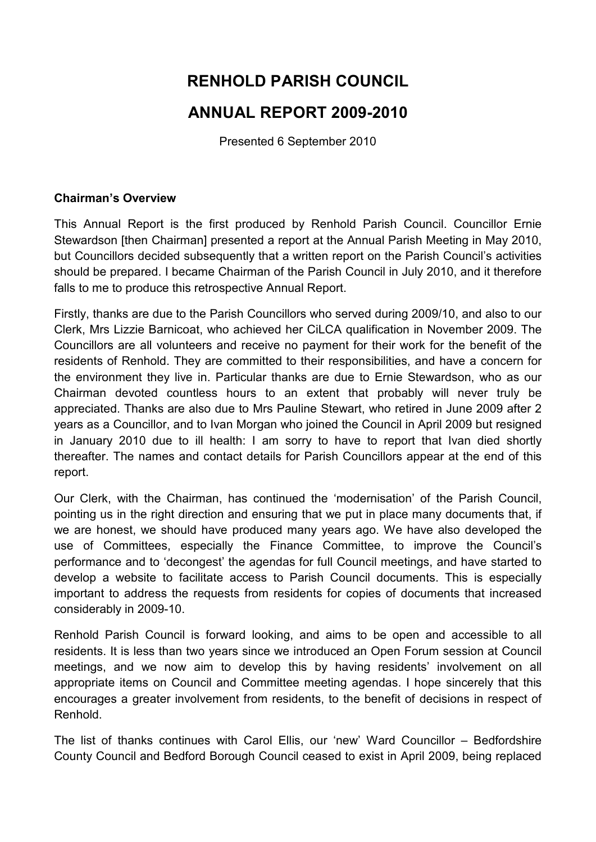# **RENHOLD PARISH COUNCIL**

## **ANNUAL REPORT 2009-2010**

Presented 6 September 2010

#### **Chairman's Overview**

This Annual Report is the first produced by Renhold Parish Council. Councillor Ernie Stewardson [then Chairman] presented a report at the Annual Parish Meeting in May 2010, but Councillors decided subsequently that a written report on the Parish Council's activities should be prepared. I became Chairman of the Parish Council in July 2010, and it therefore falls to me to produce this retrospective Annual Report.

Firstly, thanks are due to the Parish Councillors who served during 2009/10, and also to our Clerk, Mrs Lizzie Barnicoat, who achieved her CiLCA qualification in November 2009. The Councillors are all volunteers and receive no payment for their work for the benefit of the residents of Renhold. They are committed to their responsibilities, and have a concern for the environment they live in. Particular thanks are due to Ernie Stewardson, who as our Chairman devoted countless hours to an extent that probably will never truly be appreciated. Thanks are also due to Mrs Pauline Stewart, who retired in June 2009 after 2 years as a Councillor, and to Ivan Morgan who joined the Council in April 2009 but resigned in January 2010 due to ill health: I am sorry to have to report that Ivan died shortly thereafter. The names and contact details for Parish Councillors appear at the end of this report.

Our Clerk, with the Chairman, has continued the 'modernisation' of the Parish Council, pointing us in the right direction and ensuring that we put in place many documents that, if we are honest, we should have produced many years ago. We have also developed the use of Committees, especially the Finance Committee, to improve the Council's performance and to 'decongest' the agendas for full Council meetings, and have started to develop a website to facilitate access to Parish Council documents. This is especially important to address the requests from residents for copies of documents that increased considerably in 2009-10.

Renhold Parish Council is forward looking, and aims to be open and accessible to all residents. It is less than two years since we introduced an Open Forum session at Council meetings, and we now aim to develop this by having residents' involvement on all appropriate items on Council and Committee meeting agendas. I hope sincerely that this encourages a greater involvement from residents, to the benefit of decisions in respect of Renhold.

The list of thanks continues with Carol Ellis, our 'new' Ward Councillor – Bedfordshire County Council and Bedford Borough Council ceased to exist in April 2009, being replaced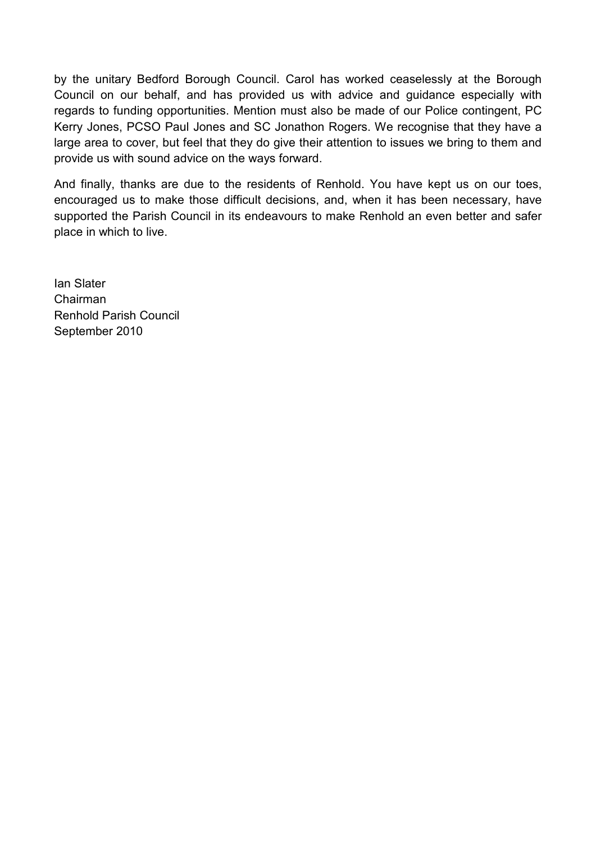by the unitary Bedford Borough Council. Carol has worked ceaselessly at the Borough Council on our behalf, and has provided us with advice and guidance especially with regards to funding opportunities. Mention must also be made of our Police contingent, PC Kerry Jones, PCSO Paul Jones and SC Jonathon Rogers. We recognise that they have a large area to cover, but feel that they do give their attention to issues we bring to them and provide us with sound advice on the ways forward.

And finally, thanks are due to the residents of Renhold. You have kept us on our toes, encouraged us to make those difficult decisions, and, when it has been necessary, have supported the Parish Council in its endeavours to make Renhold an even better and safer place in which to live.

Ian Slater Chairman Renhold Parish Council September 2010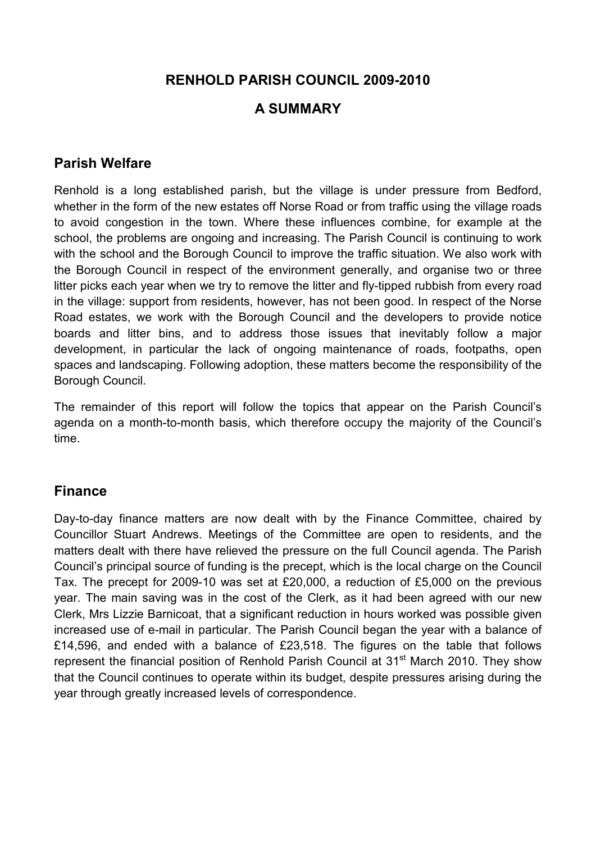## **RENHOLD PARISH COUNCIL 2009-2010**

## **A SUMMARY**

## **Parish Welfare**

Renhold is a long established parish, but the village is under pressure from Bedford, whether in the form of the new estates off Norse Road or from traffic using the village roads to avoid congestion in the town. Where these influences combine, for example at the school, the problems are ongoing and increasing. The Parish Council is continuing to work with the school and the Borough Council to improve the traffic situation. We also work with the Borough Council in respect of the environment generally, and organise two or three litter picks each year when we try to remove the litter and fly-tipped rubbish from every road in the village: support from residents, however, has not been good. In respect of the Norse Road estates, we work with the Borough Council and the developers to provide notice boards and litter bins, and to address those issues that inevitably follow a major development, in particular the lack of ongoing maintenance of roads, footpaths, open spaces and landscaping. Following adoption, these matters become the responsibility of the Borough Council.

The remainder of this report will follow the topics that appear on the Parish Council's agenda on a month-to-month basis, which therefore occupy the majority of the Council's time.

### **Finance**

Day-to-day finance matters are now dealt with by the Finance Committee, chaired by Councillor Stuart Andrews. Meetings of the Committee are open to residents, and the matters dealt with there have relieved the pressure on the full Council agenda. The Parish Council's principal source of funding is the precept, which is the local charge on the Council Tax. The precept for 2009-10 was set at £20,000, a reduction of £5,000 on the previous year. The main saving was in the cost of the Clerk, as it had been agreed with our new Clerk, Mrs Lizzie Barnicoat, that a significant reduction in hours worked was possible given increased use of e-mail in particular. The Parish Council began the year with a balance of £14,596, and ended with a balance of £23,518. The figures on the table that follows represent the financial position of Renhold Parish Council at 31<sup>st</sup> March 2010. They show that the Council continues to operate within its budget, despite pressures arising during the year through greatly increased levels of correspondence.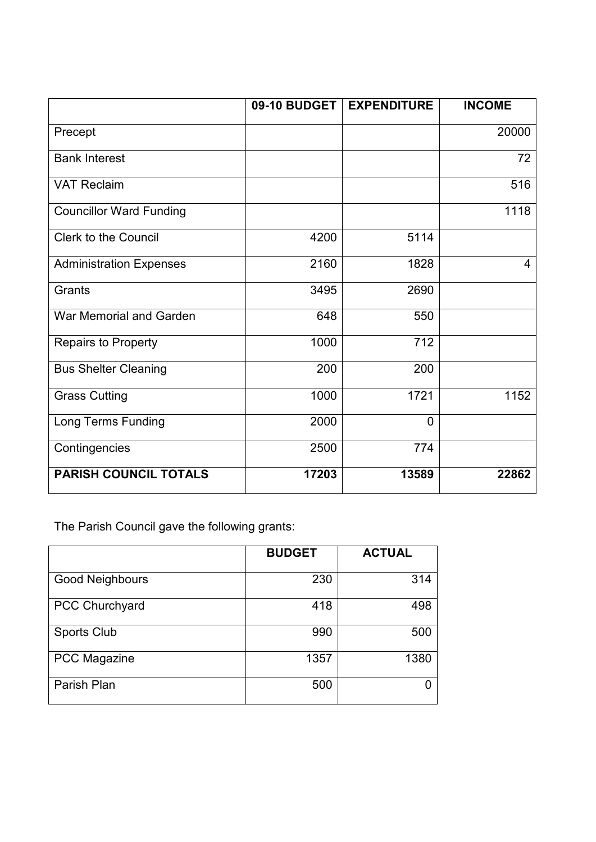|                                | 09-10 BUDGET | <b>EXPENDITURE</b> | <b>INCOME</b> |
|--------------------------------|--------------|--------------------|---------------|
| Precept                        |              |                    | 20000         |
| <b>Bank Interest</b>           |              |                    | 72            |
| <b>VAT Reclaim</b>             |              |                    | 516           |
| <b>Councillor Ward Funding</b> |              |                    | 1118          |
| <b>Clerk to the Council</b>    | 4200         | 5114               |               |
| <b>Administration Expenses</b> | 2160         | 1828               | 4             |
| Grants                         | 3495         | 2690               |               |
| War Memorial and Garden        | 648          | 550                |               |
| <b>Repairs to Property</b>     | 1000         | 712                |               |
| <b>Bus Shelter Cleaning</b>    | 200          | 200                |               |
| <b>Grass Cutting</b>           | 1000         | 1721               | 1152          |
| <b>Long Terms Funding</b>      | 2000         | $\overline{0}$     |               |
| Contingencies                  | 2500         | 774                |               |
| <b>PARISH COUNCIL TOTALS</b>   | 17203        | 13589              | 22862         |

The Parish Council gave the following grants:

|                        | <b>BUDGET</b> | <b>ACTUAL</b> |
|------------------------|---------------|---------------|
| <b>Good Neighbours</b> | 230           | 314           |
| PCC Churchyard         | 418           | 498           |
| <b>Sports Club</b>     | 990           | 500           |
| <b>PCC Magazine</b>    | 1357          | 1380          |
| Parish Plan            | 500           |               |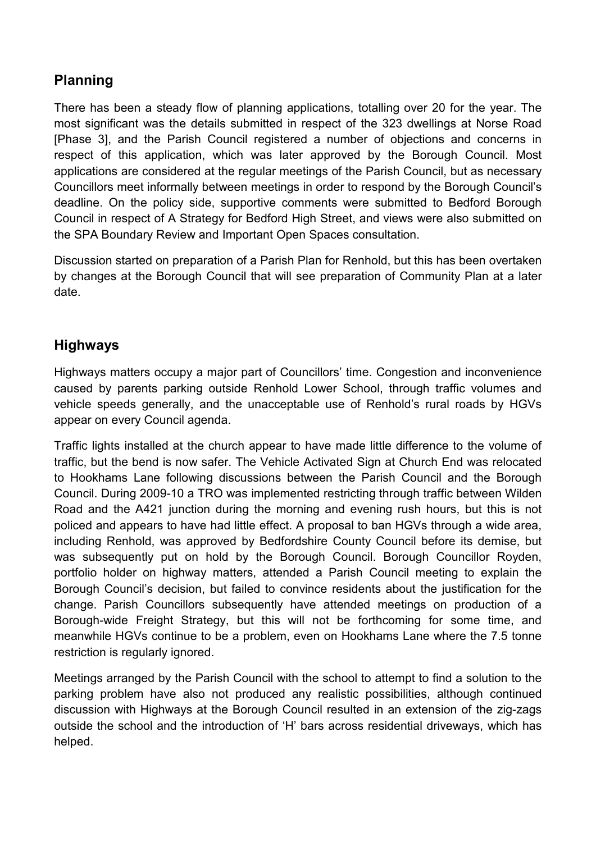## **Planning**

There has been a steady flow of planning applications, totalling over 20 for the year. The most significant was the details submitted in respect of the 323 dwellings at Norse Road [Phase 3], and the Parish Council registered a number of objections and concerns in respect of this application, which was later approved by the Borough Council. Most applications are considered at the regular meetings of the Parish Council, but as necessary Councillors meet informally between meetings in order to respond by the Borough Council's deadline. On the policy side, supportive comments were submitted to Bedford Borough Council in respect of A Strategy for Bedford High Street, and views were also submitted on the SPA Boundary Review and Important Open Spaces consultation.

Discussion started on preparation of a Parish Plan for Renhold, but this has been overtaken by changes at the Borough Council that will see preparation of Community Plan at a later date.

## **Highways**

Highways matters occupy a major part of Councillors' time. Congestion and inconvenience caused by parents parking outside Renhold Lower School, through traffic volumes and vehicle speeds generally, and the unacceptable use of Renhold's rural roads by HGVs appear on every Council agenda.

Traffic lights installed at the church appear to have made little difference to the volume of traffic, but the bend is now safer. The Vehicle Activated Sign at Church End was relocated to Hookhams Lane following discussions between the Parish Council and the Borough Council. During 2009-10 a TRO was implemented restricting through traffic between Wilden Road and the A421 junction during the morning and evening rush hours, but this is not policed and appears to have had little effect. A proposal to ban HGVs through a wide area, including Renhold, was approved by Bedfordshire County Council before its demise, but was subsequently put on hold by the Borough Council. Borough Councillor Royden, portfolio holder on highway matters, attended a Parish Council meeting to explain the Borough Council's decision, but failed to convince residents about the justification for the change. Parish Councillors subsequently have attended meetings on production of a Borough-wide Freight Strategy, but this will not be forthcoming for some time, and meanwhile HGVs continue to be a problem, even on Hookhams Lane where the 7.5 tonne restriction is regularly ignored.

Meetings arranged by the Parish Council with the school to attempt to find a solution to the parking problem have also not produced any realistic possibilities, although continued discussion with Highways at the Borough Council resulted in an extension of the zig-zags outside the school and the introduction of 'H' bars across residential driveways, which has helped.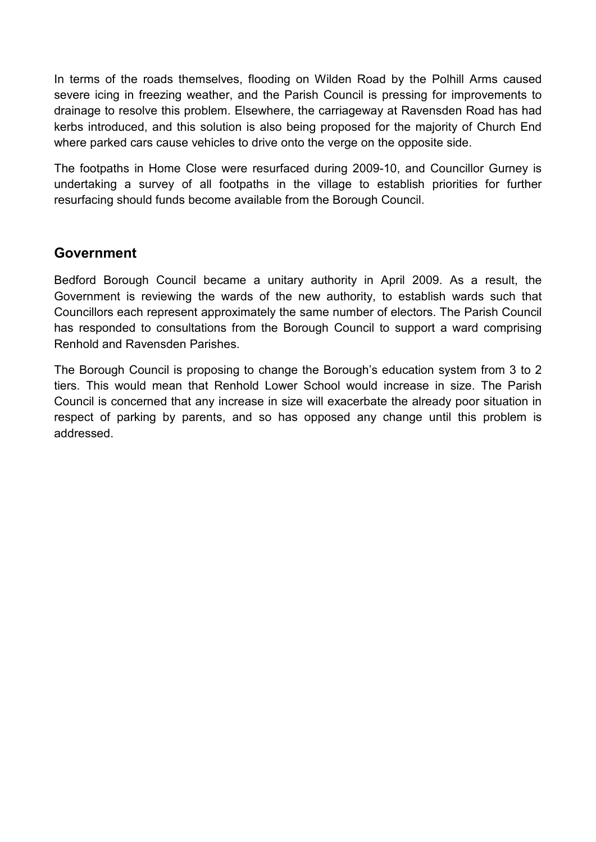In terms of the roads themselves, flooding on Wilden Road by the Polhill Arms caused severe icing in freezing weather, and the Parish Council is pressing for improvements to drainage to resolve this problem. Elsewhere, the carriageway at Ravensden Road has had kerbs introduced, and this solution is also being proposed for the majority of Church End where parked cars cause vehicles to drive onto the verge on the opposite side.

The footpaths in Home Close were resurfaced during 2009-10, and Councillor Gurney is undertaking a survey of all footpaths in the village to establish priorities for further resurfacing should funds become available from the Borough Council.

### **Government**

Bedford Borough Council became a unitary authority in April 2009. As a result, the Government is reviewing the wards of the new authority, to establish wards such that Councillors each represent approximately the same number of electors. The Parish Council has responded to consultations from the Borough Council to support a ward comprising Renhold and Ravensden Parishes.

The Borough Council is proposing to change the Borough's education system from 3 to 2 tiers. This would mean that Renhold Lower School would increase in size. The Parish Council is concerned that any increase in size will exacerbate the already poor situation in respect of parking by parents, and so has opposed any change until this problem is addressed.